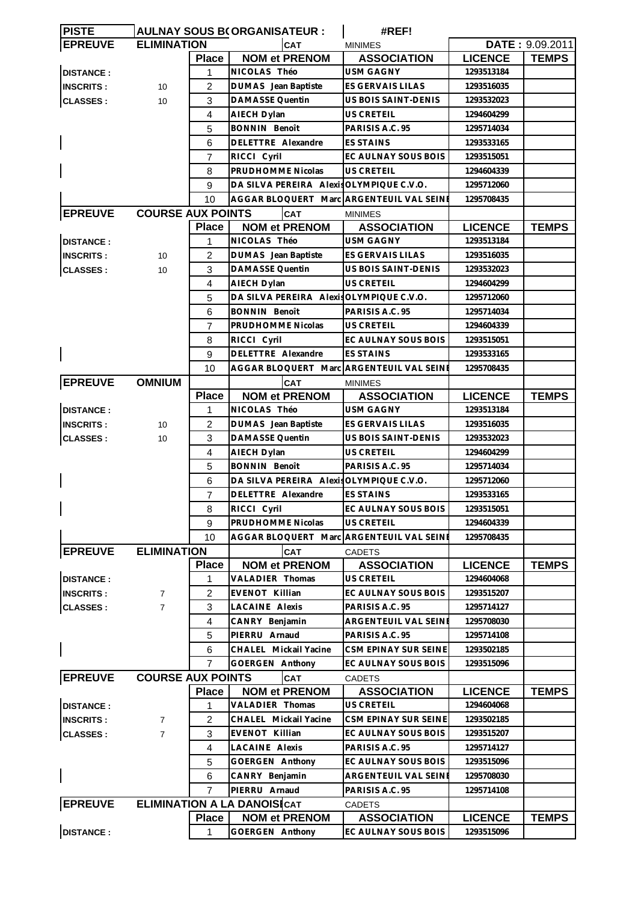| <b>PISTE</b>     |                          |                | <b>AULNAY SOUS B(ORGANISATEUR :</b>      | #REF!                       |                |                 |
|------------------|--------------------------|----------------|------------------------------------------|-----------------------------|----------------|-----------------|
| <b>EPREUVE</b>   | <b>ELIMINATION</b>       |                | <b>CAT</b>                               | <b>MINIMES</b>              |                | DATE: 9.09.2011 |
|                  |                          | <b>Place</b>   | <b>NOM et PRENOM</b>                     | <b>ASSOCIATION</b>          | <b>LICENCE</b> | <b>TEMPS</b>    |
| <b>DISTANCE:</b> |                          | 1              | NICOLAS Théo                             | <b>USM GAGNY</b>            | 1293513184     |                 |
| <b>INSCRITS:</b> | 10                       | 2              | DUMAS Jean Baptiste                      | ES GERVAIS LILAS            | 1293516035     |                 |
| <b>CLASSES:</b>  | 10                       | 3              | <b>DAMASSE Quentin</b>                   | US BOIS SAINT-DENIS         | 1293532023     |                 |
|                  |                          | 4              | AIECH Dylan                              | <b>US CRETEIL</b>           | 1294604299     |                 |
|                  |                          | 5              | <b>BONNIN Benoît</b>                     | PARISIS A.C. 95             | 1295714034     |                 |
|                  |                          | 6              | DELETTRE Alexandre                       | <b>ES STAINS</b>            | 1293533165     |                 |
|                  |                          | 7              | RICCI Cyril                              | EC AULNAY SOUS BOIS         | 1293515051     |                 |
|                  |                          | 8              | PRUDHOMME Nicolas                        | <b>US CRETEIL</b>           | 1294604339     |                 |
|                  |                          | 9              | DA SILVA PEREIRA Alexis OLYMPIQUE C.V.O. |                             | 1295712060     |                 |
|                  |                          | 10             | AGGAR BLOQUERT Marc ARGENTEUIL VAL SEINE |                             | 1295708435     |                 |
| <b>EPREUVE</b>   | <b>COURSE AUX POINTS</b> |                | <b>CAT</b>                               | <b>MINIMES</b>              |                |                 |
|                  |                          | <b>Place</b>   | <b>NOM et PRENOM</b>                     | <b>ASSOCIATION</b>          | <b>LICENCE</b> | <b>TEMPS</b>    |
| <b>DISTANCE:</b> |                          | 1              | NICOLAS Théo                             | <b>USM GAGNY</b>            | 1293513184     |                 |
| <b>INSCRITS:</b> | 10                       | 2              | <b>DUMAS</b> Jean Baptiste               | ES GERVAIS LILAS            | 1293516035     |                 |
| <b>CLASSES:</b>  | 10                       | 3              | DAMASSE Quentin                          | US BOIS SAINT-DENIS         | 1293532023     |                 |
|                  |                          | 4              | AIECH Dylan                              | <b>US CRETEIL</b>           | 1294604299     |                 |
|                  |                          | 5              | DA SILVA PEREIRA Alexis OLYMPIQUE C.V.O. |                             | 1295712060     |                 |
|                  |                          | 6              | <b>BONNIN Benoît</b>                     | PARISIS A.C. 95             | 1295714034     |                 |
|                  |                          | $\overline{7}$ | PRUDHOMME Nicolas                        | <b>US CRETEIL</b>           | 1294604339     |                 |
|                  |                          |                |                                          |                             |                |                 |
|                  |                          | 8              | RICCI Cyril                              | EC AULNAY SOUS BOIS         | 1293515051     |                 |
|                  |                          | 9              | DELETTRE Alexandre                       | <b>ES STAINS</b>            | 1293533165     |                 |
|                  |                          | 10             | AGGAR BLOQUERT Marc ARGENTEUIL VAL SEINE |                             | 1295708435     |                 |
| <b>EPREUVE</b>   | <b>OMNIUM</b>            |                | CAT                                      | <b>MINIMES</b>              |                |                 |
|                  |                          | <b>Place</b>   | <b>NOM et PRENOM</b>                     | <b>ASSOCIATION</b>          | <b>LICENCE</b> | <b>TEMPS</b>    |
| <b>DISTANCE:</b> |                          | 1              | NICOLAS Théo                             | <b>USM GAGNY</b>            | 1293513184     |                 |
| <b>INSCRITS:</b> | 10                       | $\overline{2}$ | DUMAS Jean Baptiste                      | ES GERVAIS LILAS            | 1293516035     |                 |
| <b>CLASSES:</b>  | 10                       | 3              | <b>DAMASSE Quentin</b>                   | US BOIS SAINT-DENIS         | 1293532023     |                 |
|                  |                          | 4              | AIECH Dylan                              | US CRETEIL                  | 1294604299     |                 |
|                  |                          | 5              | <b>BONNIN Benoît</b>                     | PARISIS A.C. 95             | 1295714034     |                 |
|                  |                          | 6              | DA SILVA PEREIRA Alexis OLYMPIQUE C.V.O. |                             | 1295712060     |                 |
|                  |                          | $\overline{7}$ | DELETTRE Alexandre                       | <b>ES STAINS</b>            | 1293533165     |                 |
|                  |                          | 8              | RICCI Cyril                              | EC AULNAY SOUS BOIS         | 1293515051     |                 |
|                  |                          | 9              | PRUDHOMME Nicolas                        | US CRETEIL                  | 1294604339     |                 |
|                  |                          | 10             | AGGAR BLOQUERT Marc ARGENTEUIL VAL SEINE |                             | 1295708435     |                 |
| <b>EPREUVE</b>   | <b>ELIMINATION</b>       |                | <b>CAT</b>                               | <b>CADETS</b>               |                |                 |
|                  |                          | <b>Place</b>   | <b>NOM et PRENOM</b>                     | <b>ASSOCIATION</b>          | <b>LICENCE</b> | <b>TEMPS</b>    |
| <b>DISTANCE:</b> |                          | 1              | VALADIER Thomas                          | <b>US CRETEIL</b>           | 1294604068     |                 |
| <b>INSCRITS:</b> | 7                        | 2              | EVENOT Killian                           | EC AULNAY SOUS BOIS         | 1293515207     |                 |
| <b>CLASSES:</b>  | $\overline{7}$           | 3              | LACAINE Alexis                           | PARISIS A.C. 95             | 1295714127     |                 |
|                  |                          | 4              | CANRY Benjamin                           | ARGENTEUIL VAL SEINE        | 1295708030     |                 |
|                  |                          | 5              | PIERRU Arnaud                            | PARISIS A.C. 95             | 1295714108     |                 |
|                  |                          | 6              | CHALEL Mickail Yacine                    | <b>CSM EPINAY SUR SEINE</b> | 1293502185     |                 |
|                  |                          | 7              | GOERGEN Anthony                          | EC AULNAY SOUS BOIS         | 1293515096     |                 |
| <b>EPREUVE</b>   | <b>COURSE AUX POINTS</b> |                | <b>CAT</b>                               | <b>CADETS</b>               |                |                 |
|                  |                          | <b>Place</b>   | <b>NOM et PRENOM</b>                     | <b>ASSOCIATION</b>          | <b>LICENCE</b> | <b>TEMPS</b>    |
|                  |                          |                | VALADIER Thomas                          | <b>US CRETEIL</b>           | 1294604068     |                 |
| <b>DISTANCE:</b> |                          | 1              |                                          |                             |                |                 |
| <b>INSCRITS:</b> | $\overline{7}$           | 2              | CHALEL Mickail Yacine                    | CSM EPINAY SUR SEINE        | 1293502185     |                 |
| <b>CLASSES:</b>  | $\overline{7}$           | 3              | EVENOT Killian                           | EC AULNAY SOUS BOIS         | 1293515207     |                 |
|                  |                          | 4              | LACAINE Alexis                           | PARISIS A.C. 95             | 1295714127     |                 |
|                  |                          | 5              | <b>GOERGEN Anthony</b>                   | EC AULNAY SOUS BOIS         | 1293515096     |                 |
|                  |                          | 6              | CANRY Benjamin                           | ARGENTEUIL VAL SEINE        | 1295708030     |                 |
|                  |                          | $\overline{7}$ | PIERRU Arnaud                            | PARISIS A.C. 95             | 1295714108     |                 |
| <b>EPREUVE</b>   |                          |                | <b>ELIMINATION A LA DANOISICAT</b>       | <b>CADETS</b>               |                |                 |
|                  |                          | <b>Place</b>   | <b>NOM et PRENOM</b>                     | <b>ASSOCIATION</b>          | <b>LICENCE</b> | <b>TEMPS</b>    |
| <b>DISTANCE:</b> |                          | 1              | GOERGEN Anthony                          | EC AULNAY SOUS BOIS         | 1293515096     |                 |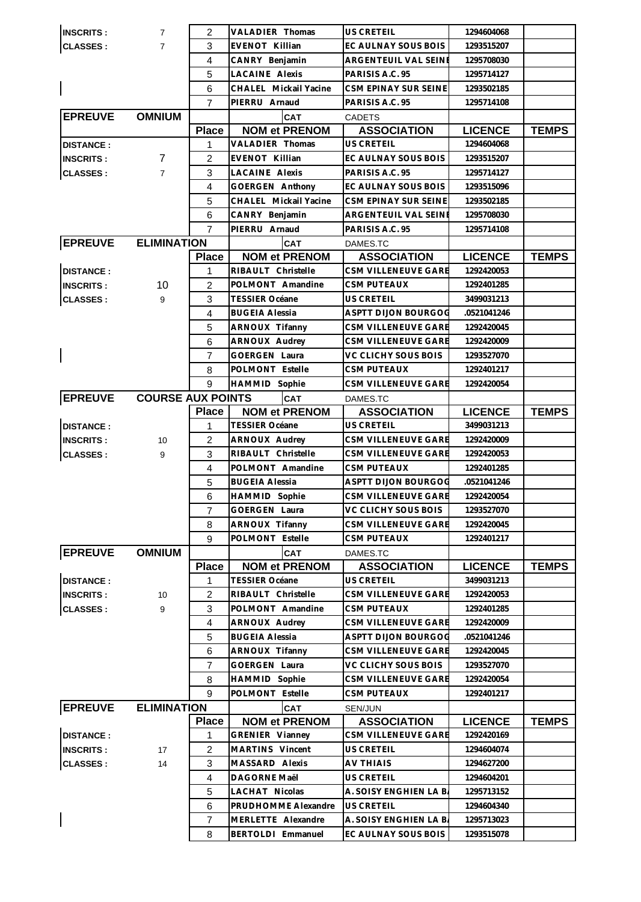| <b>INSCRITS:</b> | $\overline{7}$           | 2              | VALADIER Thomas        | <b>US CRETEIL</b>                        | 1294604068               |              |
|------------------|--------------------------|----------------|------------------------|------------------------------------------|--------------------------|--------------|
| <b>CLASSES:</b>  | $\overline{7}$           | 3              | EVENOT Killian         | EC AULNAY SOUS BOIS                      | 1293515207               |              |
|                  |                          | 4              | CANRY Benjamin         | ARGENTEUIL VAL SEINE                     | 1295708030               |              |
|                  |                          | 5              | LACAINE Alexis         | PARISIS A.C. 95                          | 1295714127               |              |
|                  |                          | 6              | CHALEL Mickail Yacine  | CSM EPINAY SUR SEINE                     | 1293502185               |              |
|                  |                          | $\overline{7}$ | PIERRU Arnaud          | PARISIS A.C. 95                          | 1295714108               |              |
| <b>EPREUVE</b>   | <b>OMNIUM</b>            |                | <b>CAT</b>             | <b>CADETS</b>                            |                          |              |
|                  |                          | <b>Place</b>   | <b>NOM et PRENOM</b>   | <b>ASSOCIATION</b>                       | <b>LICENCE</b>           | <b>TEMPS</b> |
| <b>DISTANCE:</b> |                          | 1              | VALADIER Thomas        | US CRETEIL                               | 1294604068               |              |
| <b>INSCRITS:</b> | 7                        | 2              | <b>EVENOT Killian</b>  | EC AULNAY SOUS BOIS                      | 1293515207               |              |
| <b>CLASSES:</b>  | $\overline{7}$           | 3              | <b>LACAINE Alexis</b>  | PARISIS A.C. 95                          | 1295714127               |              |
|                  |                          | 4              | <b>GOERGEN Anthony</b> | EC AULNAY SOUS BOIS                      | 1293515096               |              |
|                  |                          | 5              | CHALEL Mickail Yacine  | CSM EPINAY SUR SEINE                     | 1293502185               |              |
|                  |                          | 6              | CANRY Benjamin         | ARGENTEUIL VAL SEINI                     | 1295708030               |              |
|                  |                          | $\overline{7}$ | PIERRU Arnaud          | PARISIS A.C. 95                          | 1295714108               |              |
| <b>EPREUVE</b>   | <b>ELIMINATION</b>       |                | <b>CAT</b>             | DAMES.TC                                 |                          |              |
|                  |                          | <b>Place</b>   | <b>NOM et PRENOM</b>   | <b>ASSOCIATION</b>                       | <b>LICENCE</b>           | <b>TEMPS</b> |
| <b>DISTANCE:</b> |                          | 1              | RIBAULT Christelle     | CSM VILLENEUVE GARE                      |                          |              |
|                  | 10                       |                | POLMONT Amandine       | <b>CSM PUTEAUX</b>                       | 1292420053<br>1292401285 |              |
| <b>INSCRITS:</b> |                          | 2              |                        |                                          |                          |              |
| <b>CLASSES:</b>  | 9                        | 3              | <b>TESSIER Océane</b>  | US CRETEIL<br><b>ASPTT DIJON BOURGOO</b> | 3499031213               |              |
|                  |                          | 4              | <b>BUGEIA Alessia</b>  |                                          | 0521041246               |              |
|                  |                          | 5              | ARNOUX Tifanny         | CSM VILLENEUVE GARE                      | 1292420045               |              |
|                  |                          | 6              | <b>ARNOUX Audrey</b>   | CSM VILLENEUVE GARE                      | 1292420009               |              |
|                  |                          | 7              | <b>GOERGEN Laura</b>   | VC CLICHY SOUS BOIS                      | 1293527070               |              |
|                  |                          | 8              | POLMONT Estelle        | <b>CSM PUTEAUX</b>                       | 1292401217               |              |
|                  |                          | 9              | <b>HAMMID Sophie</b>   | <b>CSM VILLENEUVE GARE</b>               | 1292420054               |              |
| <b>EPREUVE</b>   | <b>COURSE AUX POINTS</b> |                | <b>CAT</b>             | DAMES.TC                                 |                          |              |
|                  |                          | <b>Place</b>   | <b>NOM et PRENOM</b>   | <b>ASSOCIATION</b>                       | <b>LICENCE</b>           | <b>TEMPS</b> |
| <b>DISTANCE:</b> |                          | 1              | <b>TESSIER Océane</b>  | US CRETEIL                               | 3499031213               |              |
| <b>INSCRITS:</b> | 10                       | 2              | <b>ARNOUX Audrey</b>   | CSM VILLENEUVE GARE                      | 1292420009               |              |
| <b>CLASSES:</b>  | 9                        | 3              | RIBAULT Christelle     | <b>CSM VILLENEUVE GARE</b>               | 1292420053               |              |
|                  |                          | 4              | POLMONT Amandine       | <b>CSM PUTEAUX</b>                       | 1292401285               |              |
|                  |                          | 5              | <b>BUGEIA Alessia</b>  | <b>ASPTT DIJON BOURGOO</b>               | 0521041246               |              |
|                  |                          | 6              | HAMMID Sophie          | CSM VILLENEUVE GARE                      | 1292420054               |              |
|                  |                          | 7              | GOERGEN Laura          | VC CLICHY SOUS BOIS                      | 1293527070               |              |
|                  |                          | 8              | ARNOUX Tifanny         | CSM VILLENEUVE GARE                      | 1292420045               |              |
|                  |                          | 9              | POLMONT Estelle        | <b>CSM PUTEAUX</b>                       | 1292401217               |              |
| <b>EPREUVE</b>   | <b>OMNIUM</b>            |                | <b>CAT</b>             | DAMES.TC                                 |                          |              |
|                  |                          | <b>Place</b>   | <b>NOM et PRENOM</b>   | <b>ASSOCIATION</b>                       | <b>LICENCE</b>           | <b>TEMPS</b> |
| <b>DISTANCE:</b> |                          | 1              | <b>TESSIER Océane</b>  | US CRETEIL                               | 3499031213               |              |
| <b>INSCRITS:</b> | 10                       | $\overline{c}$ | RIBAULT Christelle     | CSM VILLENEUVE GARE                      | 1292420053               |              |
| <b>CLASSES:</b>  | 9                        | 3              | POLMONT Amandine       | <b>CSM PUTEAUX</b>                       | 1292401285               |              |
|                  |                          | 4              | ARNOUX Audrey          | CSM VILLENEUVE GARE                      | 1292420009               |              |
|                  |                          | 5              | <b>BUGEIA Alessia</b>  | <b>ASPTT DIJON BOURGOO</b>               | 0521041246               |              |
|                  |                          | 6              | <b>ARNOUX Tifanny</b>  | CSM VILLENEUVE GARE                      | 1292420045               |              |
|                  |                          | $\overline{7}$ | GOERGEN Laura          | VC CLICHY SOUS BOIS                      | 1293527070               |              |
|                  |                          | 8              | HAMMID Sophie          | CSM VILLENEUVE GARE                      | 1292420054               |              |
|                  |                          | 9              | POLMONT Estelle        | CSM PUTEAUX                              | 1292401217               |              |
| <b>EPREUVE</b>   | <b>ELIMINATION</b>       |                | <b>CAT</b>             | <b>SEN/JUN</b>                           |                          |              |
|                  |                          | <b>Place</b>   | <b>NOM et PRENOM</b>   | <b>ASSOCIATION</b>                       | <b>LICENCE</b>           | <b>TEMPS</b> |
| <b>DISTANCE:</b> |                          | 1              | GRENIER Vianney        | CSM VILLENEUVE GARE                      | 1292420169               |              |
| <b>INSCRITS:</b> | 17                       | 2              | MARTINS Vincent        | US CRETEIL                               | 1294604074               |              |
| <b>CLASSES:</b>  | 14                       | 3              | MASSARD Alexis         | <b>AV THIAIS</b>                         | 1294627200               |              |
|                  |                          | 4              | DAGORNE Maël           | US CRETEIL                               | 1294604201               |              |
|                  |                          | 5              | LACHAT Nicolas         | A. SOISY ENGHIEN LA B.                   | 1295713152               |              |
|                  |                          | 6              | PRUDHOMME Alexandre    | US CRETEIL                               | 1294604340               |              |
|                  |                          | $\overline{7}$ | MERLETTE Alexandre     | A. SOISY ENGHIEN LA B.                   | 1295713023               |              |
|                  |                          | 8              | BERTOLDI Emmanuel      | EC AULNAY SOUS BOIS                      | 1293515078               |              |
|                  |                          |                |                        |                                          |                          |              |